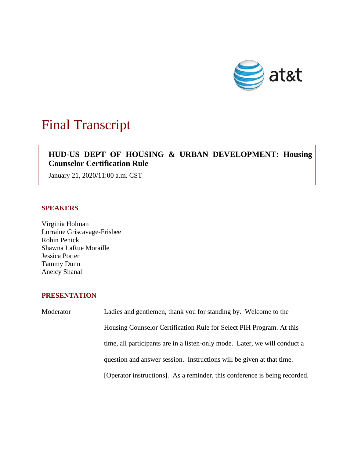

# Final Transcript

# **HUD-US DEPT OF HOUSING & URBAN DEVELOPMENT: Housing Counselor Certification Rule**

January 21, 2020/11:00 a.m. CST

### **SPEAKERS**

Virginia Holman Lorraine Griscavage-Frisbee Robin Penick Shawna LaRue Moraille Jessica Porter Tammy Dunn Aneicy Shanal

# **PRESENTATION**

| Moderator | Ladies and gentlemen, thank you for standing by. Welcome to the            |
|-----------|----------------------------------------------------------------------------|
|           | Housing Counselor Certification Rule for Select PIH Program. At this       |
|           | time, all participants are in a listen-only mode. Later, we will conduct a |
|           | question and answer session. Instructions will be given at that time.      |
|           | [Operator instructions]. As a reminder, this conference is being recorded. |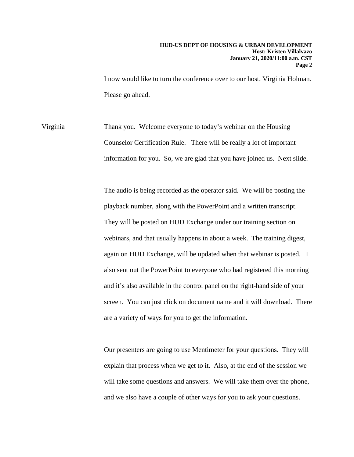I now would like to turn the conference over to our host, Virginia Holman. Please go ahead.

Virginia Thank you. Welcome everyone to today's webinar on the Housing Counselor Certification Rule. There will be really a lot of important information for you. So, we are glad that you have joined us. Next slide.

> The audio is being recorded as the operator said. We will be posting the playback number, along with the PowerPoint and a written transcript. They will be posted on HUD Exchange under our training section on webinars, and that usually happens in about a week. The training digest, again on HUD Exchange, will be updated when that webinar is posted. I also sent out the PowerPoint to everyone who had registered this morning and it's also available in the control panel on the right-hand side of your screen. You can just click on document name and it will download. There are a variety of ways for you to get the information.

Our presenters are going to use Mentimeter for your questions. They will explain that process when we get to it. Also, at the end of the session we will take some questions and answers. We will take them over the phone, and we also have a couple of other ways for you to ask your questions.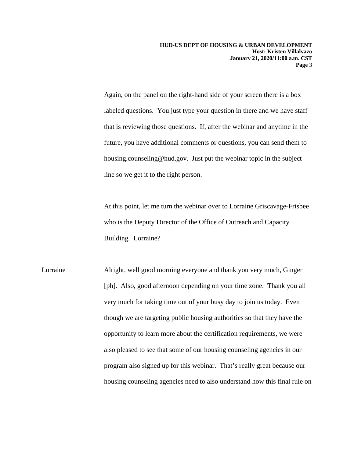Again, on the panel on the right-hand side of your screen there is a box labeled questions. You just type your question in there and we have staff that is reviewing those questions. If, after the webinar and anytime in the future, you have additional comments or questions, you can send them to housing.counseling@hud.gov. Just put the webinar topic in the subject line so we get it to the right person.

At this point, let me turn the webinar over to Lorraine Griscavage-Frisbee who is the Deputy Director of the Office of Outreach and Capacity Building. Lorraine?

Lorraine Alright, well good morning everyone and thank you very much, Ginger [ph]. Also, good afternoon depending on your time zone. Thank you all very much for taking time out of your busy day to join us today. Even though we are targeting public housing authorities so that they have the opportunity to learn more about the certification requirements, we were also pleased to see that some of our housing counseling agencies in our program also signed up for this webinar. That's really great because our housing counseling agencies need to also understand how this final rule on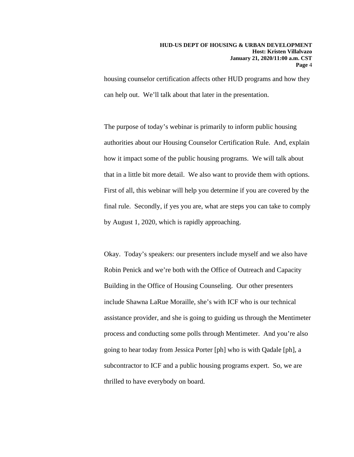housing counselor certification affects other HUD programs and how they can help out. We'll talk about that later in the presentation.

The purpose of today's webinar is primarily to inform public housing authorities about our Housing Counselor Certification Rule. And, explain how it impact some of the public housing programs. We will talk about that in a little bit more detail. We also want to provide them with options. First of all, this webinar will help you determine if you are covered by the final rule. Secondly, if yes you are, what are steps you can take to comply by August 1, 2020, which is rapidly approaching.

Okay. Today's speakers: our presenters include myself and we also have Robin Penick and we're both with the Office of Outreach and Capacity Building in the Office of Housing Counseling. Our other presenters include Shawna LaRue Moraille, she's with ICF who is our technical assistance provider, and she is going to guiding us through the Mentimeter process and conducting some polls through Mentimeter. And you're also going to hear today from Jessica Porter [ph] who is with Qadale [ph], a subcontractor to ICF and a public housing programs expert. So, we are thrilled to have everybody on board.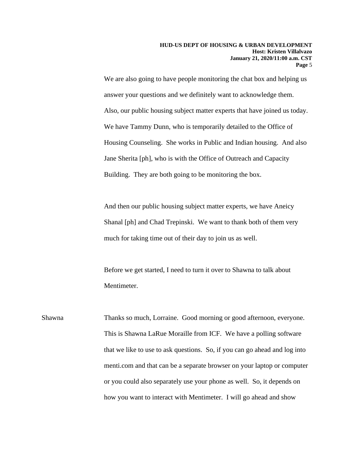We are also going to have people monitoring the chat box and helping us answer your questions and we definitely want to acknowledge them. Also, our public housing subject matter experts that have joined us today. We have Tammy Dunn, who is temporarily detailed to the Office of Housing Counseling. She works in Public and Indian housing. And also Jane Sherita [ph], who is with the Office of Outreach and Capacity Building. They are both going to be monitoring the box.

And then our public housing subject matter experts, we have Aneicy Shanal [ph] and Chad Trepinski. We want to thank both of them very much for taking time out of their day to join us as well.

Before we get started, I need to turn it over to Shawna to talk about Mentimeter.

Shawna Thanks so much, Lorraine. Good morning or good afternoon, everyone. This is Shawna LaRue Moraille from ICF. We have a polling software that we like to use to ask questions. So, if you can go ahead and log into menti.com and that can be a separate browser on your laptop or computer or you could also separately use your phone as well. So, it depends on how you want to interact with Mentimeter. I will go ahead and show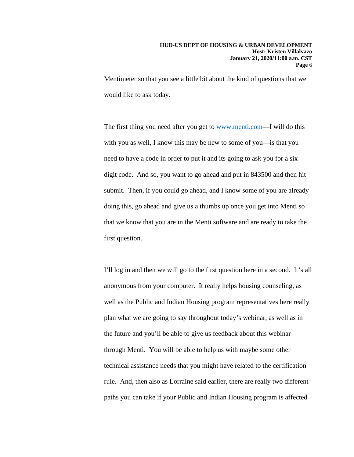Mentimeter so that you see a little bit about the kind of questions that we would like to ask today.

The first thing you need after you get to <u>www.menti.com</u>—I will do this with you as well, I know this may be new to some of you—is that you need to have a code in order to put it and its going to ask you for a six digit code. And so, you want to go ahead and put in 843500 and then hit submit. Then, if you could go ahead, and I know some of you are already doing this, go ahead and give us a thumbs up once you get into Menti so that we know that you are in the Menti software and are ready to take the first question.

I'll log in and then we will go to the first question here in a second. It's all anonymous from your computer. It really helps housing counseling, as well as the Public and Indian Housing program representatives here really plan what we are going to say throughout today's webinar, as well as in the future and you'll be able to give us feedback about this webinar through Menti. You will be able to help us with maybe some other technical assistance needs that you might have related to the certification rule. And, then also as Lorraine said earlier, there are really two different paths you can take if your Public and Indian Housing program is affected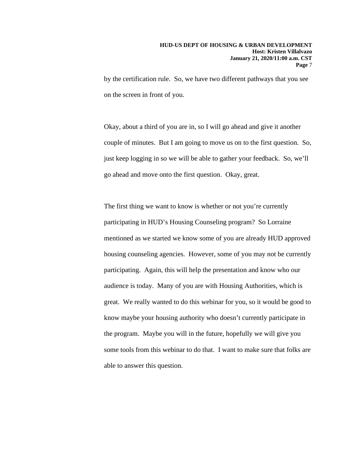by the certification rule. So, we have two different pathways that you see on the screen in front of you.

Okay, about a third of you are in, so I will go ahead and give it another couple of minutes. But I am going to move us on to the first question. So, just keep logging in so we will be able to gather your feedback. So, we'll go ahead and move onto the first question. Okay, great.

The first thing we want to know is whether or not you're currently participating in HUD's Housing Counseling program? So Lorraine mentioned as we started we know some of you are already HUD approved housing counseling agencies. However, some of you may not be currently participating. Again, this will help the presentation and know who our audience is today. Many of you are with Housing Authorities, which is great. We really wanted to do this webinar for you, so it would be good to know maybe your housing authority who doesn't currently participate in the program. Maybe you will in the future, hopefully we will give you some tools from this webinar to do that. I want to make sure that folks are able to answer this question.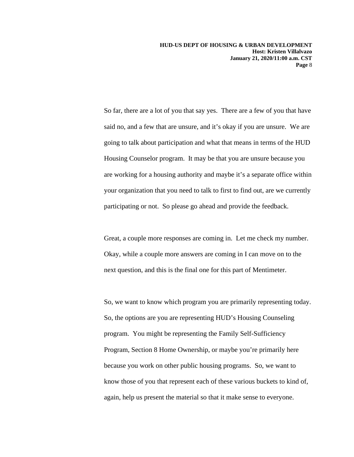So far, there are a lot of you that say yes. There are a few of you that have said no, and a few that are unsure, and it's okay if you are unsure. We are going to talk about participation and what that means in terms of the HUD Housing Counselor program. It may be that you are unsure because you are working for a housing authority and maybe it's a separate office within your organization that you need to talk to first to find out, are we currently participating or not. So please go ahead and provide the feedback.

Great, a couple more responses are coming in. Let me check my number. Okay, while a couple more answers are coming in I can move on to the next question, and this is the final one for this part of Mentimeter.

So, we want to know which program you are primarily representing today. So, the options are you are representing HUD's Housing Counseling program. You might be representing the Family Self-Sufficiency Program, Section 8 Home Ownership, or maybe you're primarily here because you work on other public housing programs. So, we want to know those of you that represent each of these various buckets to kind of, again, help us present the material so that it make sense to everyone.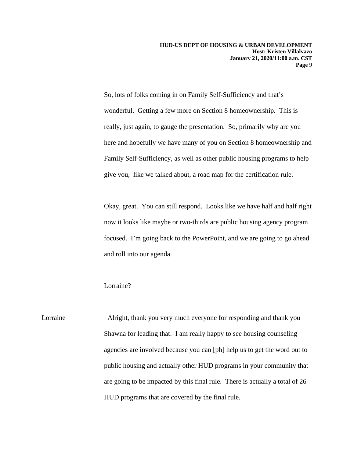So, lots of folks coming in on Family Self-Sufficiency and that's wonderful. Getting a few more on Section 8 homeownership. This is really, just again, to gauge the presentation. So, primarily why are you here and hopefully we have many of you on Section 8 homeownership and Family Self-Sufficiency, as well as other public housing programs to help give you, like we talked about, a road map for the certification rule.

Okay, great. You can still respond. Looks like we have half and half right now it looks like maybe or two-thirds are public housing agency program focused. I'm going back to the PowerPoint, and we are going to go ahead and roll into our agenda.

## Lorraine?

Lorraine Alright, thank you very much everyone for responding and thank you Shawna for leading that. I am really happy to see housing counseling agencies are involved because you can [ph] help us to get the word out to public housing and actually other HUD programs in your community that are going to be impacted by this final rule. There is actually a total of 26 HUD programs that are covered by the final rule.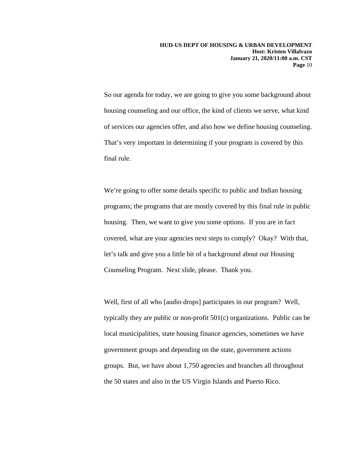So our agenda for today, we are going to give you some background about housing counseling and our office, the kind of clients we serve, what kind of services our agencies offer, and also how we define housing counseling. That's very important in determining if your program is covered by this final rule.

We're going to offer some details specific to public and Indian housing programs; the programs that are mostly covered by this final rule in public housing. Then, we want to give you some options. If you are in fact covered, what are your agencies next steps to comply? Okay? With that, let's talk and give you a little bit of a background about our Housing Counseling Program. Next slide, please. Thank you.

Well, first of all who [audio drops] participates in our program? Well, typically they are public or non-profit 501(c) organizations. Public can be local municipalities, state housing finance agencies, sometimes we have government groups and depending on the state, government actions groups. But, we have about 1,750 agencies and branches all throughout the 50 states and also in the US Virgin Islands and Puerto Rico.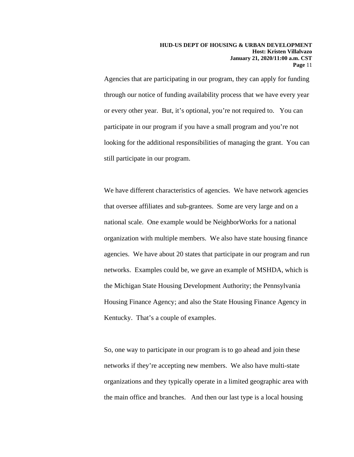Agencies that are participating in our program, they can apply for funding through our notice of funding availability process that we have every year or every other year. But, it's optional, you're not required to. You can participate in our program if you have a small program and you're not looking for the additional responsibilities of managing the grant. You can still participate in our program.

We have different characteristics of agencies. We have network agencies that oversee affiliates and sub-grantees. Some are very large and on a national scale. One example would be NeighborWorks for a national organization with multiple members. We also have state housing finance agencies. We have about 20 states that participate in our program and run networks. Examples could be, we gave an example of MSHDA, which is the Michigan State Housing Development Authority; the Pennsylvania Housing Finance Agency; and also the State Housing Finance Agency in Kentucky. That's a couple of examples.

So, one way to participate in our program is to go ahead and join these networks if they're accepting new members. We also have multi-state organizations and they typically operate in a limited geographic area with the main office and branches. And then our last type is a local housing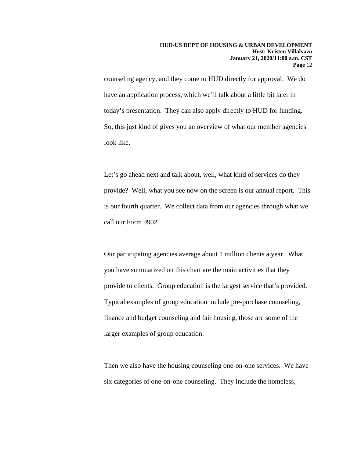counseling agency, and they come to HUD directly for approval. We do have an application process, which we'll talk about a little bit later in today's presentation. They can also apply directly to HUD for funding. So, this just kind of gives you an overview of what our member agencies look like.

Let's go ahead next and talk about, well, what kind of services do they provide? Well, what you see now on the screen is our annual report. This is our fourth quarter. We collect data from our agencies through what we call our Form 9902.

Our participating agencies average about 1 million clients a year. What you have summarized on this chart are the main activities that they provide to clients. Group education is the largest service that's provided. Typical examples of group education include pre-purchase counseling, finance and budget counseling and fair housing, those are some of the larger examples of group education.

Then we also have the housing counseling one-on-one services. We have six categories of one-on-one counseling. They include the homeless,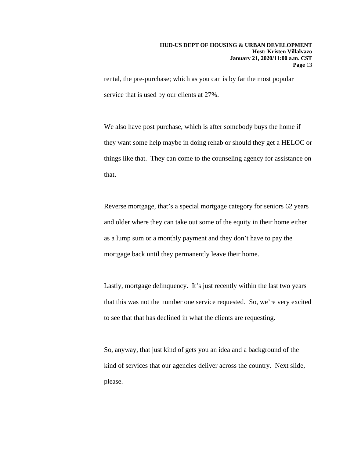rental, the pre-purchase; which as you can is by far the most popular service that is used by our clients at 27%.

We also have post purchase, which is after somebody buys the home if they want some help maybe in doing rehab or should they get a HELOC or things like that. They can come to the counseling agency for assistance on that.

Reverse mortgage, that's a special mortgage category for seniors 62 years and older where they can take out some of the equity in their home either as a lump sum or a monthly payment and they don't have to pay the mortgage back until they permanently leave their home.

 Lastly, mortgage delinquency. It's just recently within the last two years that this was not the number one service requested. So, we're very excited to see that that has declined in what the clients are requesting.

So, anyway, that just kind of gets you an idea and a background of the kind of services that our agencies deliver across the country. Next slide, please.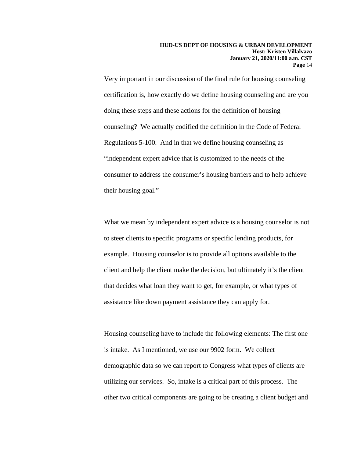Very important in our discussion of the final rule for housing counseling certification is, how exactly do we define housing counseling and are you doing these steps and these actions for the definition of housing counseling? We actually codified the definition in the Code of Federal Regulations 5-100. And in that we define housing counseling as "independent expert advice that is customized to the needs of the consumer to address the consumer's housing barriers and to help achieve their housing goal."

What we mean by independent expert advice is a housing counselor is not to steer clients to specific programs or specific lending products, for example. Housing counselor is to provide all options available to the client and help the client make the decision, but ultimately it's the client that decides what loan they want to get, for example, or what types of assistance like down payment assistance they can apply for.

Housing counseling have to include the following elements: The first one is intake. As I mentioned, we use our 9902 form. We collect demographic data so we can report to Congress what types of clients are utilizing our services. So, intake is a critical part of this process. The other two critical components are going to be creating a client budget and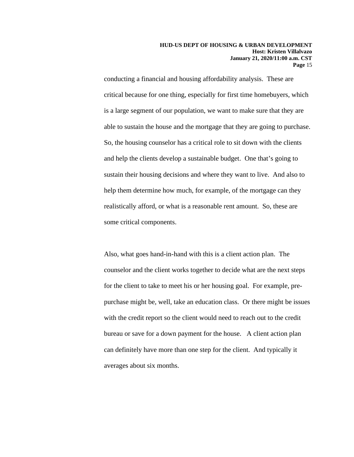conducting a financial and housing affordability analysis. These are critical because for one thing, especially for first time homebuyers, which is a large segment of our population, we want to make sure that they are able to sustain the house and the mortgage that they are going to purchase. So, the housing counselor has a critical role to sit down with the clients and help the clients develop a sustainable budget. One that's going to sustain their housing decisions and where they want to live. And also to help them determine how much, for example, of the mortgage can they realistically afford, or what is a reasonable rent amount. So, these are some critical components.

Also, what goes hand-in-hand with this is a client action plan. The counselor and the client works together to decide what are the next steps for the client to take to meet his or her housing goal. For example, prepurchase might be, well, take an education class. Or there might be issues with the credit report so the client would need to reach out to the credit bureau or save for a down payment for the house. A client action plan can definitely have more than one step for the client. And typically it averages about six months.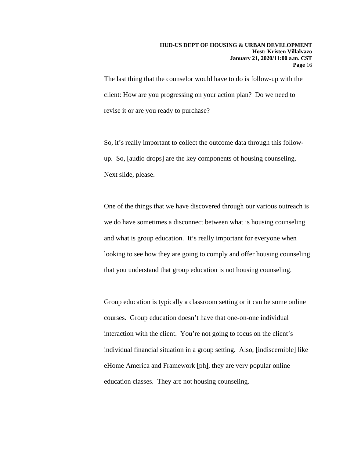The last thing that the counselor would have to do is follow-up with the client: How are you progressing on your action plan? Do we need to revise it or are you ready to purchase?

So, it's really important to collect the outcome data through this followup. So, [audio drops] are the key components of housing counseling. Next slide, please.

One of the things that we have discovered through our various outreach is we do have sometimes a disconnect between what is housing counseling and what is group education. It's really important for everyone when looking to see how they are going to comply and offer housing counseling that you understand that group education is not housing counseling.

Group education is typically a classroom setting or it can be some online courses. Group education doesn't have that one-on-one individual interaction with the client. You're not going to focus on the client's individual financial situation in a group setting. Also, [indiscernible] like eHome America and Framework [ph], they are very popular online education classes. They are not housing counseling.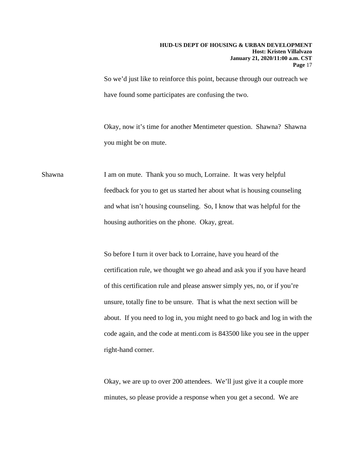So we'd just like to reinforce this point, because through our outreach we have found some participates are confusing the two.

Okay, now it's time for another Mentimeter question. Shawna? Shawna you might be on mute.

Shawna I am on mute. Thank you so much, Lorraine. It was very helpful feedback for you to get us started her about what is housing counseling and what isn't housing counseling. So, I know that was helpful for the housing authorities on the phone. Okay, great.

> So before I turn it over back to Lorraine, have you heard of the certification rule, we thought we go ahead and ask you if you have heard of this certification rule and please answer simply yes, no, or if you're unsure, totally fine to be unsure. That is what the next section will be about. If you need to log in, you might need to go back and log in with the code again, and the code at menti.com is 843500 like you see in the upper right-hand corner.

Okay, we are up to over 200 attendees. We'll just give it a couple more minutes, so please provide a response when you get a second. We are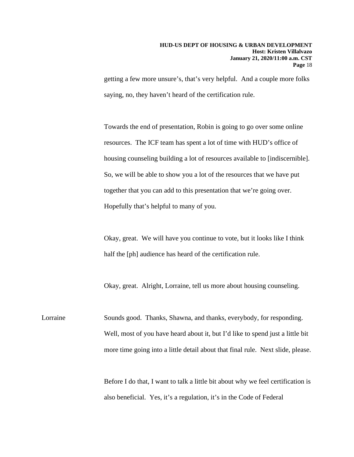getting a few more unsure's, that's very helpful. And a couple more folks saying, no, they haven't heard of the certification rule.

Towards the end of presentation, Robin is going to go over some online resources. The ICF team has spent a lot of time with HUD's office of housing counseling building a lot of resources available to [indiscernible]. So, we will be able to show you a lot of the resources that we have put together that you can add to this presentation that we're going over. Hopefully that's helpful to many of you.

Okay, great. We will have you continue to vote, but it looks like I think half the [ph] audience has heard of the certification rule.

Okay, great. Alright, Lorraine, tell us more about housing counseling.

Lorraine Sounds good. Thanks, Shawna, and thanks, everybody, for responding. Well, most of you have heard about it, but I'd like to spend just a little bit more time going into a little detail about that final rule. Next slide, please.

> Before I do that, I want to talk a little bit about why we feel certification is also beneficial. Yes, it's a regulation, it's in the Code of Federal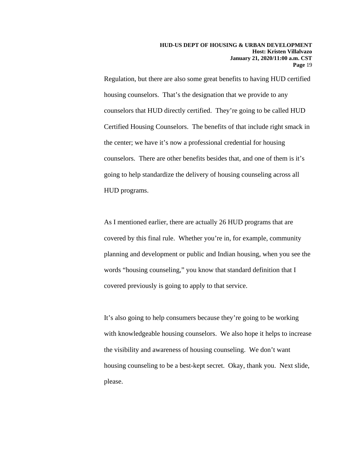Regulation, but there are also some great benefits to having HUD certified housing counselors. That's the designation that we provide to any counselors that HUD directly certified. They're going to be called HUD Certified Housing Counselors. The benefits of that include right smack in the center; we have it's now a professional credential for housing counselors. There are other benefits besides that, and one of them is it's going to help standardize the delivery of housing counseling across all HUD programs.

As I mentioned earlier, there are actually 26 HUD programs that are covered by this final rule. Whether you're in, for example, community planning and development or public and Indian housing, when you see the words "housing counseling," you know that standard definition that I covered previously is going to apply to that service.

It's also going to help consumers because they're going to be working with knowledgeable housing counselors. We also hope it helps to increase the visibility and awareness of housing counseling. We don't want housing counseling to be a best-kept secret. Okay, thank you. Next slide, please.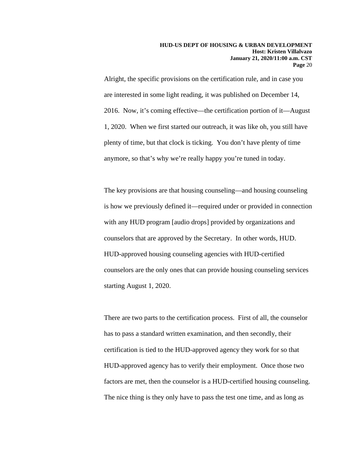Alright, the specific provisions on the certification rule, and in case you are interested in some light reading, it was published on December 14, 2016. Now, it's coming effective—the certification portion of it—August 1, 2020. When we first started our outreach, it was like oh, you still have plenty of time, but that clock is ticking. You don't have plenty of time anymore, so that's why we're really happy you're tuned in today.

The key provisions are that housing counseling—and housing counseling is how we previously defined it—required under or provided in connection with any HUD program [audio drops] provided by organizations and counselors that are approved by the Secretary. In other words, HUD. HUD-approved housing counseling agencies with HUD-certified counselors are the only ones that can provide housing counseling services starting August 1, 2020.

There are two parts to the certification process. First of all, the counselor has to pass a standard written examination, and then secondly, their certification is tied to the HUD-approved agency they work for so that HUD-approved agency has to verify their employment. Once those two factors are met, then the counselor is a HUD-certified housing counseling. The nice thing is they only have to pass the test one time, and as long as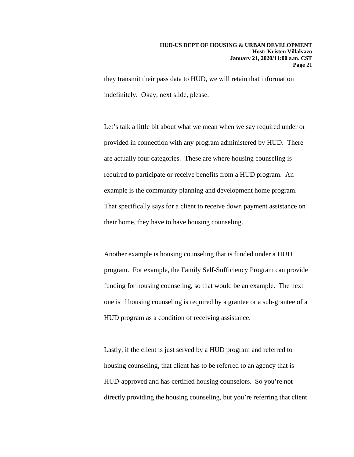they transmit their pass data to HUD, we will retain that information indefinitely. Okay, next slide, please.

Let's talk a little bit about what we mean when we say required under or provided in connection with any program administered by HUD. There are actually four categories. These are where housing counseling is required to participate or receive benefits from a HUD program. An example is the community planning and development home program. That specifically says for a client to receive down payment assistance on their home, they have to have housing counseling.

Another example is housing counseling that is funded under a HUD program. For example, the Family Self-Sufficiency Program can provide funding for housing counseling, so that would be an example. The next one is if housing counseling is required by a grantee or a sub-grantee of a HUD program as a condition of receiving assistance.

Lastly, if the client is just served by a HUD program and referred to housing counseling, that client has to be referred to an agency that is HUD-approved and has certified housing counselors. So you're not directly providing the housing counseling, but you're referring that client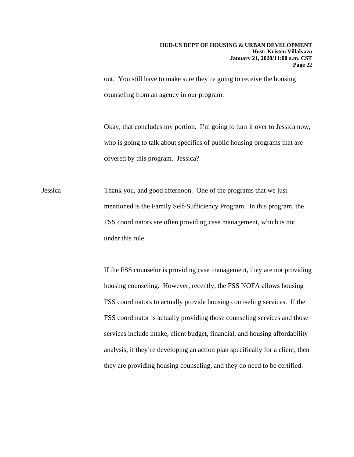out. You still have to make sure they're going to receive the housing counseling from an agency in our program.

Okay, that concludes my portion. I'm going to turn it over to Jessica now, who is going to talk about specifics of public housing programs that are covered by this program. Jessica?

Jessica Thank you, and good afternoon. One of the programs that we just mentioned is the Family Self-Sufficiency Program. In this program, the FSS coordinators are often providing case management, which is not under this rule.

> If the FSS counselor is providing case management, they are not providing housing counseling. However, recently, the FSS NOFA allows housing FSS coordinators to actually provide housing counseling services. If the FSS coordinator is actually providing those counseling services and those services include intake, client budget, financial, and housing affordability analysis, if they're developing an action plan specifically for a client, then they are providing housing counseling, and they do need to be certified.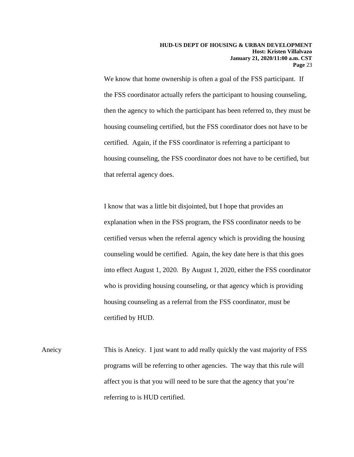We know that home ownership is often a goal of the FSS participant. If the FSS coordinator actually refers the participant to housing counseling, then the agency to which the participant has been referred to, they must be housing counseling certified, but the FSS coordinator does not have to be certified. Again, if the FSS coordinator is referring a participant to housing counseling, the FSS coordinator does not have to be certified, but that referral agency does.

I know that was a little bit disjointed, but I hope that provides an explanation when in the FSS program, the FSS coordinator needs to be certified versus when the referral agency which is providing the housing counseling would be certified. Again, the key date here is that this goes into effect August 1, 2020. By August 1, 2020, either the FSS coordinator who is providing housing counseling, or that agency which is providing housing counseling as a referral from the FSS coordinator, must be certified by HUD.

Aneicy This is Aneicy. I just want to add really quickly the vast majority of FSS programs will be referring to other agencies. The way that this rule will affect you is that you will need to be sure that the agency that you're referring to is HUD certified.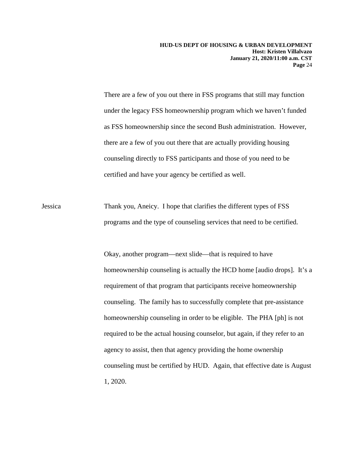There are a few of you out there in FSS programs that still may function under the legacy FSS homeownership program which we haven't funded as FSS homeownership since the second Bush administration. However, there are a few of you out there that are actually providing housing counseling directly to FSS participants and those of you need to be certified and have your agency be certified as well.

Jessica Thank you, Aneicy. I hope that clarifies the different types of FSS programs and the type of counseling services that need to be certified.

> Okay, another program—next slide—that is required to have homeownership counseling is actually the HCD home [audio drops]. It's a requirement of that program that participants receive homeownership counseling. The family has to successfully complete that pre-assistance homeownership counseling in order to be eligible. The PHA [ph] is not required to be the actual housing counselor, but again, if they refer to an agency to assist, then that agency providing the home ownership counseling must be certified by HUD. Again, that effective date is August 1, 2020.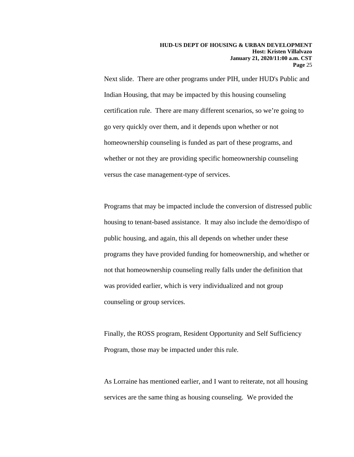Next slide. There are other programs under PIH, under HUD's Public and Indian Housing, that may be impacted by this housing counseling certification rule. There are many different scenarios, so we're going to go very quickly over them, and it depends upon whether or not homeownership counseling is funded as part of these programs, and whether or not they are providing specific homeownership counseling versus the case management-type of services.

Programs that may be impacted include the conversion of distressed public housing to tenant-based assistance. It may also include the demo/dispo of public housing, and again, this all depends on whether under these programs they have provided funding for homeownership, and whether or not that homeownership counseling really falls under the definition that was provided earlier, which is very individualized and not group counseling or group services.

Finally, the ROSS program, Resident Opportunity and Self Sufficiency Program, those may be impacted under this rule.

As Lorraine has mentioned earlier, and I want to reiterate, not all housing services are the same thing as housing counseling. We provided the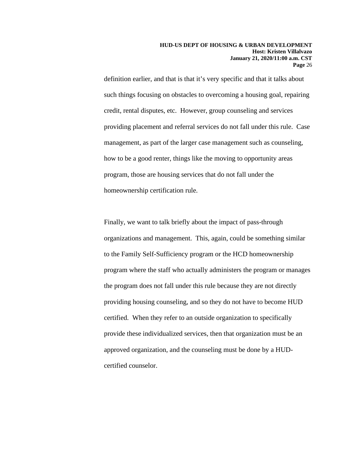definition earlier, and that is that it's very specific and that it talks about such things focusing on obstacles to overcoming a housing goal, repairing credit, rental disputes, etc. However, group counseling and services providing placement and referral services do not fall under this rule. Case management, as part of the larger case management such as counseling, how to be a good renter, things like the moving to opportunity areas program, those are housing services that do not fall under the homeownership certification rule.

Finally, we want to talk briefly about the impact of pass-through organizations and management. This, again, could be something similar to the Family Self-Sufficiency program or the HCD homeownership program where the staff who actually administers the program or manages the program does not fall under this rule because they are not directly providing housing counseling, and so they do not have to become HUD certified. When they refer to an outside organization to specifically provide these individualized services, then that organization must be an approved organization, and the counseling must be done by a HUDcertified counselor.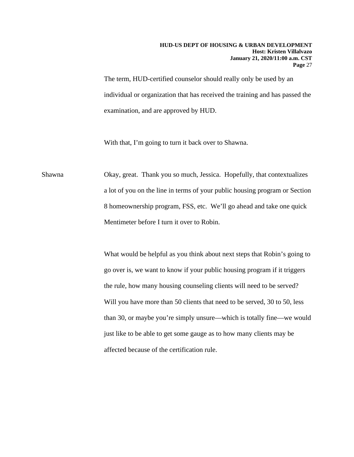The term, HUD-certified counselor should really only be used by an individual or organization that has received the training and has passed the examination, and are approved by HUD.

With that, I'm going to turn it back over to Shawna.

Shawna Okay, great. Thank you so much, Jessica. Hopefully, that contextualizes a lot of you on the line in terms of your public housing program or Section 8 homeownership program, FSS, etc. We'll go ahead and take one quick Mentimeter before I turn it over to Robin.

> What would be helpful as you think about next steps that Robin's going to go over is, we want to know if your public housing program if it triggers the rule, how many housing counseling clients will need to be served? Will you have more than 50 clients that need to be served, 30 to 50, less than 30, or maybe you're simply unsure—which is totally fine—we would just like to be able to get some gauge as to how many clients may be affected because of the certification rule.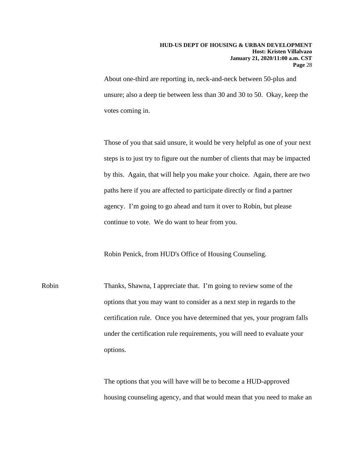About one-third are reporting in, neck-and-neck between 50-plus and unsure; also a deep tie between less than 30 and 30 to 50. Okay, keep the votes coming in.

Those of you that said unsure, it would be very helpful as one of your next steps is to just try to figure out the number of clients that may be impacted by this. Again, that will help you make your choice. Again, there are two paths here if you are affected to participate directly or find a partner agency. I'm going to go ahead and turn it over to Robin, but please continue to vote. We do want to hear from you.

Robin Penick, from HUD's Office of Housing Counseling.

Robin Thanks, Shawna, I appreciate that. I'm going to review some of the options that you may want to consider as a next step in regards to the certification rule. Once you have determined that yes, your program falls under the certification rule requirements, you will need to evaluate your options.

> The options that you will have will be to become a HUD-approved housing counseling agency, and that would mean that you need to make an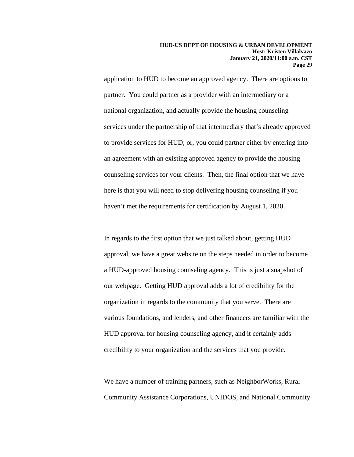application to HUD to become an approved agency. There are options to partner. You could partner as a provider with an intermediary or a national organization, and actually provide the housing counseling services under the partnership of that intermediary that's already approved to provide services for HUD; or, you could partner either by entering into an agreement with an existing approved agency to provide the housing counseling services for your clients. Then, the final option that we have here is that you will need to stop delivering housing counseling if you haven't met the requirements for certification by August 1, 2020.

In regards to the first option that we just talked about, getting HUD approval, we have a great website on the steps needed in order to become a HUD-approved housing counseling agency. This is just a snapshot of our webpage. Getting HUD approval adds a lot of credibility for the organization in regards to the community that you serve. There are various foundations, and lenders, and other financers are familiar with the HUD approval for housing counseling agency, and it certainly adds credibility to your organization and the services that you provide.

We have a number of training partners, such as NeighborWorks, Rural Community Assistance Corporations, UNIDOS, and National Community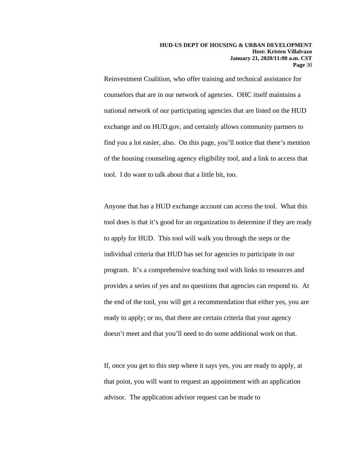Reinvestment Coalition, who offer training and technical assistance for counselors that are in our network of agencies. OHC itself maintains a national network of our participating agencies that are listed on the HUD exchange and on HUD.gov, and certainly allows community partners to find you a lot easier, also. On this page, you'll notice that there's mention of the housing counseling agency eligibility tool, and a link to access that tool. I do want to talk about that a little bit, too.

Anyone that has a HUD exchange account can access the tool. What this tool does is that it's good for an organization to determine if they are ready to apply for HUD. This tool will walk you through the steps or the individual criteria that HUD has set for agencies to participate in our program. It's a comprehensive teaching tool with links to resources and provides a series of yes and no questions that agencies can respond to. At the end of the tool, you will get a recommendation that either yes, you are ready to apply; or no, that there are certain criteria that your agency doesn't meet and that you'll need to do some additional work on that.

If, once you get to this step where it says yes, you are ready to apply, at that point, you will want to request an appointment with an application advisor. The application advisor request can be made to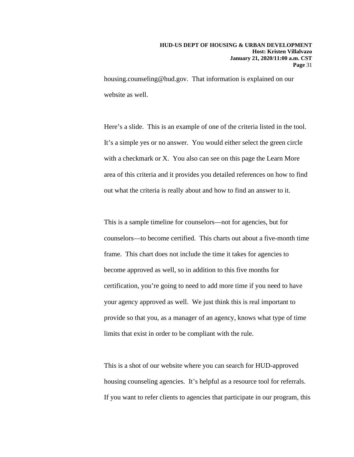housing.counseling@hud.gov. That information is explained on our website as well.

Here's a slide. This is an example of one of the criteria listed in the tool. It's a simple yes or no answer. You would either select the green circle with a checkmark or X. You also can see on this page the Learn More area of this criteria and it provides you detailed references on how to find out what the criteria is really about and how to find an answer to it.

This is a sample timeline for counselors—not for agencies, but for counselors—to become certified. This charts out about a five-month time frame. This chart does not include the time it takes for agencies to become approved as well, so in addition to this five months for certification, you're going to need to add more time if you need to have your agency approved as well. We just think this is real important to provide so that you, as a manager of an agency, knows what type of time limits that exist in order to be compliant with the rule.

This is a shot of our website where you can search for HUD-approved housing counseling agencies. It's helpful as a resource tool for referrals. If you want to refer clients to agencies that participate in our program, this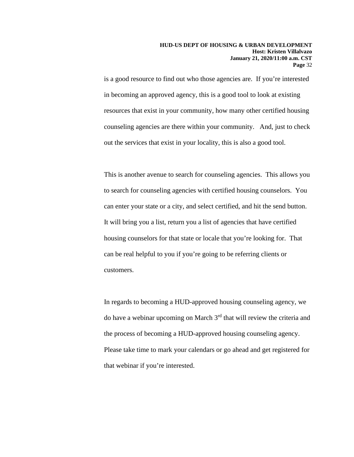is a good resource to find out who those agencies are. If you're interested in becoming an approved agency, this is a good tool to look at existing resources that exist in your community, how many other certified housing counseling agencies are there within your community. And, just to check out the services that exist in your locality, this is also a good tool.

This is another avenue to search for counseling agencies. This allows you to search for counseling agencies with certified housing counselors. You can enter your state or a city, and select certified, and hit the send button. It will bring you a list, return you a list of agencies that have certified housing counselors for that state or locale that you're looking for. That can be real helpful to you if you're going to be referring clients or customers.

In regards to becoming a HUD-approved housing counseling agency, we do have a webinar upcoming on March 3rd that will review the criteria and the process of becoming a HUD-approved housing counseling agency. Please take time to mark your calendars or go ahead and get registered for that webinar if you're interested.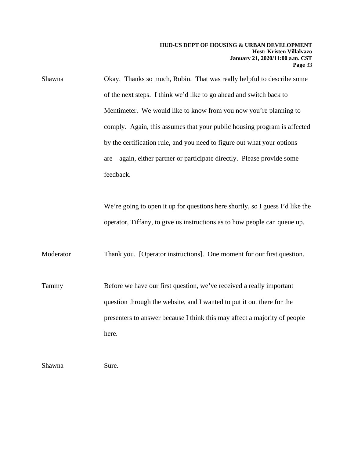Shawna Okay. Thanks so much, Robin. That was really helpful to describe some of the next steps. I think we'd like to go ahead and switch back to Mentimeter. We would like to know from you now you're planning to comply. Again, this assumes that your public housing program is affected by the certification rule, and you need to figure out what your options are—again, either partner or participate directly. Please provide some feedback.

> We're going to open it up for questions here shortly, so I guess I'd like the operator, Tiffany, to give us instructions as to how people can queue up.

Moderator Thank you. [Operator instructions]. One moment for our first question.

Tammy Before we have our first question, we've received a really important question through the website, and I wanted to put it out there for the presenters to answer because I think this may affect a majority of people here.

Shawna Sure.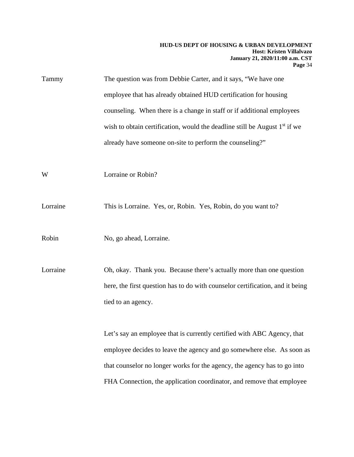| Tammy    | The question was from Debbie Carter, and it says, "We have one                         |
|----------|----------------------------------------------------------------------------------------|
|          | employee that has already obtained HUD certification for housing                       |
|          | counseling. When there is a change in staff or if additional employees                 |
|          | wish to obtain certification, would the deadline still be August 1 <sup>st</sup> if we |
|          | already have someone on-site to perform the counseling?"                               |
|          |                                                                                        |
| W        | Lorraine or Robin?                                                                     |
|          |                                                                                        |
| Lorraine | This is Lorraine. Yes, or, Robin. Yes, Robin, do you want to?                          |
|          |                                                                                        |
| Robin    | No, go ahead, Lorraine.                                                                |
|          |                                                                                        |
| Lorraine | Oh, okay. Thank you. Because there's actually more than one question                   |
|          | here, the first question has to do with counselor certification, and it being          |
|          | tied to an agency.                                                                     |
|          |                                                                                        |
|          | Let's say an employee that is currently certified with ABC Agency, that                |
|          | employee decides to leave the agency and go somewhere else. As soon as                 |
|          | that counselor no longer works for the agency, the agency has to go into               |

FHA Connection, the application coordinator, and remove that employee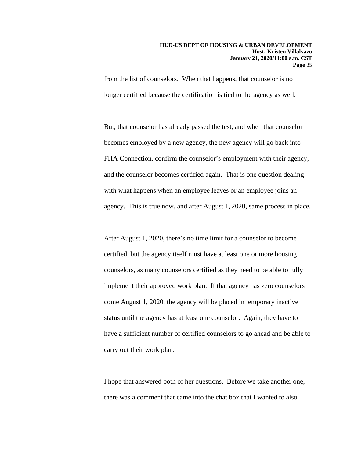from the list of counselors. When that happens, that counselor is no longer certified because the certification is tied to the agency as well.

But, that counselor has already passed the test, and when that counselor becomes employed by a new agency, the new agency will go back into FHA Connection, confirm the counselor's employment with their agency, and the counselor becomes certified again. That is one question dealing with what happens when an employee leaves or an employee joins an agency. This is true now, and after August 1, 2020, same process in place.

After August 1, 2020, there's no time limit for a counselor to become certified, but the agency itself must have at least one or more housing counselors, as many counselors certified as they need to be able to fully implement their approved work plan. If that agency has zero counselors come August 1, 2020, the agency will be placed in temporary inactive status until the agency has at least one counselor. Again, they have to have a sufficient number of certified counselors to go ahead and be able to carry out their work plan.

I hope that answered both of her questions. Before we take another one, there was a comment that came into the chat box that I wanted to also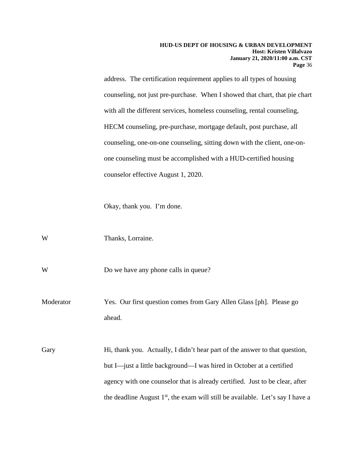address. The certification requirement applies to all types of housing counseling, not just pre-purchase. When I showed that chart, that pie chart with all the different services, homeless counseling, rental counseling, HECM counseling, pre-purchase, mortgage default, post purchase, all counseling, one-on-one counseling, sitting down with the client, one-onone counseling must be accomplished with a HUD-certified housing counselor effective August 1, 2020.

Okay, thank you. I'm done.

W Thanks, Lorraine.

W Do we have any phone calls in queue?

Moderator Yes. Our first question comes from Gary Allen Glass [ph]. Please go ahead.

Gary Hi, thank you. Actually, I didn't hear part of the answer to that question, but I—just a little background—I was hired in October at a certified agency with one counselor that is already certified. Just to be clear, after the deadline August  $1<sup>st</sup>$ , the exam will still be available. Let's say I have a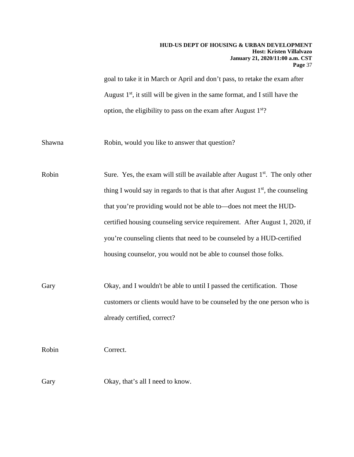goal to take it in March or April and don't pass, to retake the exam after August  $1<sup>st</sup>$ , it still will be given in the same format, and I still have the option, the eligibility to pass on the exam after August  $1<sup>st</sup>$ ?

Shawna Robin, would you like to answer that question?

Robin Sure. Yes, the exam will still be available after August  $1<sup>st</sup>$ . The only other thing I would say in regards to that is that after August  $1<sup>st</sup>$ , the counseling that you're providing would not be able to—does not meet the HUDcertified housing counseling service requirement. After August 1, 2020, if you're counseling clients that need to be counseled by a HUD-certified housing counselor, you would not be able to counsel those folks.

Gary Okay, and I wouldn't be able to until I passed the certification. Those customers or clients would have to be counseled by the one person who is already certified, correct?

Robin Correct.

Gary Okay, that's all I need to know.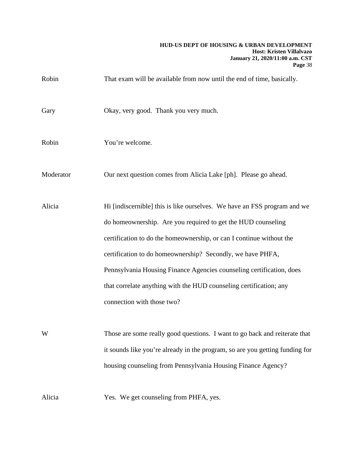| Robin     | That exam will be available from now until the end of time, basically.                                                                                                                                                                                                                                                                                                                                                                                     |
|-----------|------------------------------------------------------------------------------------------------------------------------------------------------------------------------------------------------------------------------------------------------------------------------------------------------------------------------------------------------------------------------------------------------------------------------------------------------------------|
| Gary      | Okay, very good. Thank you very much.                                                                                                                                                                                                                                                                                                                                                                                                                      |
| Robin     | You're welcome.                                                                                                                                                                                                                                                                                                                                                                                                                                            |
| Moderator | Our next question comes from Alicia Lake [ph]. Please go ahead.                                                                                                                                                                                                                                                                                                                                                                                            |
| Alicia    | Hi [indiscernible] this is like ourselves. We have an FSS program and we<br>do homeownership. Are you required to get the HUD counseling<br>certification to do the homeownership, or can I continue without the<br>certification to do homeownership? Secondly, we have PHFA,<br>Pennsylvania Housing Finance Agencies counseling certification, does<br>that correlate anything with the HUD counseling certification; any<br>connection with those two? |
| W         | Those are some really good questions. I want to go back and reiterate that<br>it sounds like you're already in the program, so are you getting funding for<br>housing counseling from Pennsylvania Housing Finance Agency?                                                                                                                                                                                                                                 |
| Alicia    | Yes. We get counseling from PHFA, yes.                                                                                                                                                                                                                                                                                                                                                                                                                     |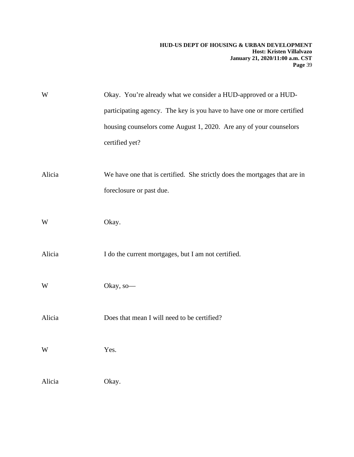| W      | Okay. You're already what we consider a HUD-approved or a HUD-             |
|--------|----------------------------------------------------------------------------|
|        | participating agency. The key is you have to have one or more certified    |
|        | housing counselors come August 1, 2020. Are any of your counselors         |
|        | certified yet?                                                             |
|        |                                                                            |
| Alicia | We have one that is certified. She strictly does the mortgages that are in |
|        | foreclosure or past due.                                                   |
|        |                                                                            |
| W      | Okay.                                                                      |
|        |                                                                            |
| Alicia | I do the current mortgages, but I am not certified.                        |
|        |                                                                            |
| W      | Okay, so-                                                                  |
|        |                                                                            |
| Alicia | Does that mean I will need to be certified?                                |
|        |                                                                            |
| W      | Yes.                                                                       |
|        |                                                                            |
| Alicia | Okay.                                                                      |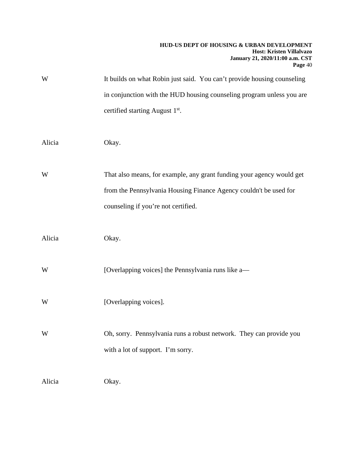| W      | It builds on what Robin just said. You can't provide housing counseling |
|--------|-------------------------------------------------------------------------|
|        | in conjunction with the HUD housing counseling program unless you are   |
|        | certified starting August 1 <sup>st</sup> .                             |
|        |                                                                         |
| Alicia | Okay.                                                                   |
|        |                                                                         |
| W      | That also means, for example, any grant funding your agency would get   |
|        | from the Pennsylvania Housing Finance Agency couldn't be used for       |
|        | counseling if you're not certified.                                     |
|        |                                                                         |
| Alicia | Okay.                                                                   |
|        |                                                                         |
| W      | [Overlapping voices] the Pennsylvania runs like a-                      |
|        |                                                                         |
| W      | [Overlapping voices].                                                   |
|        |                                                                         |
| W      | Oh, sorry. Pennsylvania runs a robust network. They can provide you     |
|        | with a lot of support. I'm sorry.                                       |
|        |                                                                         |
| Alicia | Okay.                                                                   |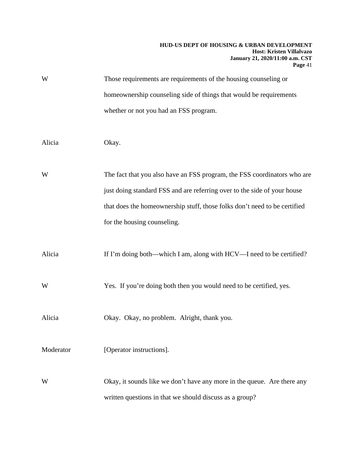| W         | Those requirements are requirements of the housing counseling or          |
|-----------|---------------------------------------------------------------------------|
|           | homeownership counseling side of things that would be requirements        |
|           | whether or not you had an FSS program.                                    |
|           |                                                                           |
| Alicia    | Okay.                                                                     |
|           |                                                                           |
| W         | The fact that you also have an FSS program, the FSS coordinators who are  |
|           | just doing standard FSS and are referring over to the side of your house  |
|           | that does the homeownership stuff, those folks don't need to be certified |
|           | for the housing counseling.                                               |
|           |                                                                           |
| Alicia    | If I'm doing both—which I am, along with HCV—I need to be certified?      |
|           |                                                                           |
| W         | Yes. If you're doing both then you would need to be certified, yes.       |
|           |                                                                           |
| Alicia    | Okay. Okay, no problem. Alright, thank you.                               |
|           |                                                                           |
| Moderator | [Operator instructions].                                                  |
|           |                                                                           |
| W         | Okay, it sounds like we don't have any more in the queue. Are there any   |
|           | written questions in that we should discuss as a group?                   |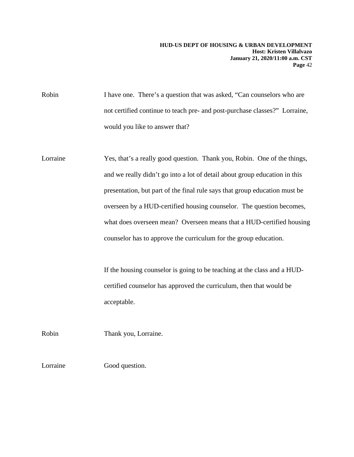Robin I have one. There's a question that was asked, "Can counselors who are not certified continue to teach pre- and post-purchase classes?" Lorraine, would you like to answer that?

Lorraine Yes, that's a really good question. Thank you, Robin. One of the things, and we really didn't go into a lot of detail about group education in this presentation, but part of the final rule says that group education must be overseen by a HUD-certified housing counselor. The question becomes, what does overseen mean? Overseen means that a HUD-certified housing counselor has to approve the curriculum for the group education.

> If the housing counselor is going to be teaching at the class and a HUDcertified counselor has approved the curriculum, then that would be acceptable.

Robin Thank you, Lorraine.

Lorraine Good question.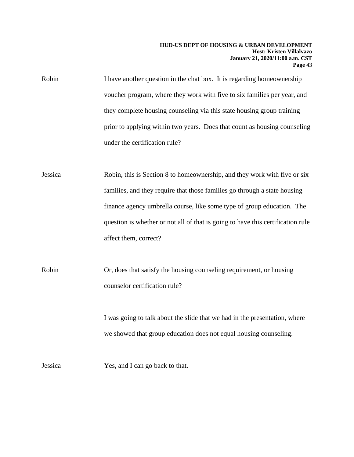Robin I have another question in the chat box. It is regarding homeownership voucher program, where they work with five to six families per year, and they complete housing counseling via this state housing group training prior to applying within two years. Does that count as housing counseling under the certification rule?

Jessica Robin, this is Section 8 to homeownership, and they work with five or six families, and they require that those families go through a state housing finance agency umbrella course, like some type of group education. The question is whether or not all of that is going to have this certification rule affect them, correct?

Robin Or, does that satisfy the housing counseling requirement, or housing counselor certification rule?

> I was going to talk about the slide that we had in the presentation, where we showed that group education does not equal housing counseling.

Jessica Yes, and I can go back to that.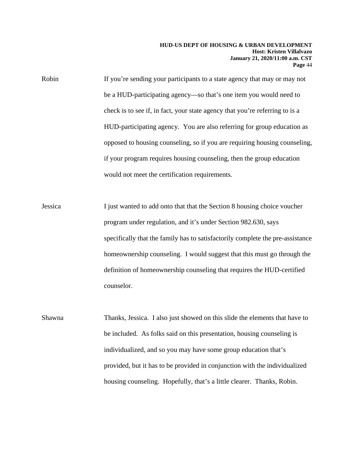Robin If you're sending your participants to a state agency that may or may not be a HUD-participating agency—so that's one item you would need to check is to see if, in fact, your state agency that you're referring to is a HUD-participating agency. You are also referring for group education as opposed to housing counseling, so if you are requiring housing counseling, if your program requires housing counseling, then the group education would not meet the certification requirements.

Jessica I just wanted to add onto that that the Section 8 housing choice voucher program under regulation, and it's under Section 982.630, says specifically that the family has to satisfactorily complete the pre-assistance homeownership counseling. I would suggest that this must go through the definition of homeownership counseling that requires the HUD-certified counselor.

Shawna Thanks, Jessica. I also just showed on this slide the elements that have to be included. As folks said on this presentation, housing counseling is individualized, and so you may have some group education that's provided, but it has to be provided in conjunction with the individualized housing counseling. Hopefully, that's a little clearer. Thanks, Robin.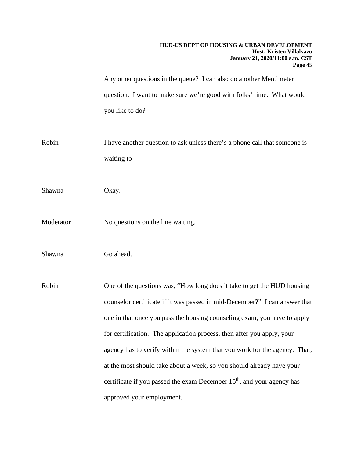Any other questions in the queue? I can also do another Mentimeter question. I want to make sure we're good with folks' time. What would you like to do?

Robin I have another question to ask unless there's a phone call that someone is waiting to—

Shawna Okay.

Moderator No questions on the line waiting.

Shawna Go ahead.

Robin One of the questions was, "How long does it take to get the HUD housing counselor certificate if it was passed in mid-December?" I can answer that one in that once you pass the housing counseling exam, you have to apply for certification. The application process, then after you apply, your agency has to verify within the system that you work for the agency. That, at the most should take about a week, so you should already have your certificate if you passed the exam December 15<sup>th</sup>, and your agency has approved your employment.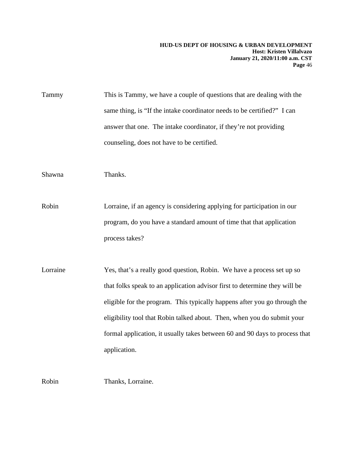Tammy This is Tammy, we have a couple of questions that are dealing with the same thing, is "If the intake coordinator needs to be certified?" I can answer that one. The intake coordinator, if they're not providing counseling, does not have to be certified.

Shawna Thanks.

Robin Lorraine, if an agency is considering applying for participation in our program, do you have a standard amount of time that that application process takes?

Lorraine Yes, that's a really good question, Robin. We have a process set up so that folks speak to an application advisor first to determine they will be eligible for the program. This typically happens after you go through the eligibility tool that Robin talked about. Then, when you do submit your formal application, it usually takes between 60 and 90 days to process that application.

Robin Thanks, Lorraine.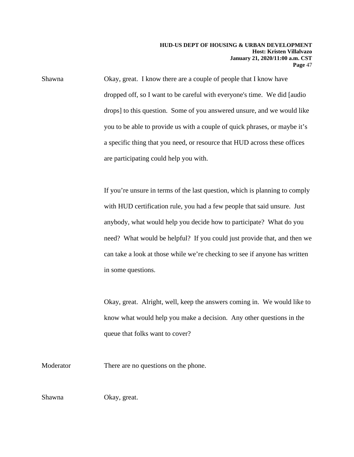Shawna Okay, great. I know there are a couple of people that I know have dropped off, so I want to be careful with everyone's time. We did [audio drops] to this question. Some of you answered unsure, and we would like you to be able to provide us with a couple of quick phrases, or maybe it's a specific thing that you need, or resource that HUD across these offices are participating could help you with.

> If you're unsure in terms of the last question, which is planning to comply with HUD certification rule, you had a few people that said unsure. Just anybody, what would help you decide how to participate? What do you need? What would be helpful? If you could just provide that, and then we can take a look at those while we're checking to see if anyone has written in some questions.

> Okay, great. Alright, well, keep the answers coming in. We would like to know what would help you make a decision. Any other questions in the queue that folks want to cover?

Moderator There are no questions on the phone.

Shawna Okay, great.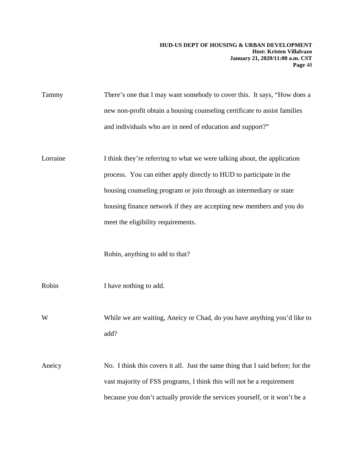Tammy There's one that I may want somebody to cover this. It says, "How does a new non-profit obtain a housing counseling certificate to assist families and individuals who are in need of education and support?"

Lorraine I think they're referring to what we were talking about, the application process. You can either apply directly to HUD to participate in the housing counseling program or join through an intermediary or state housing finance network if they are accepting new members and you do meet the eligibility requirements.

Robin, anything to add to that?

Robin I have nothing to add.

While we are waiting, Aneicy or Chad, do you have anything you'd like to add?

Aneicy No. I think this covers it all. Just the same thing that I said before; for the vast majority of FSS programs, I think this will not be a requirement because you don't actually provide the services yourself, or it won't be a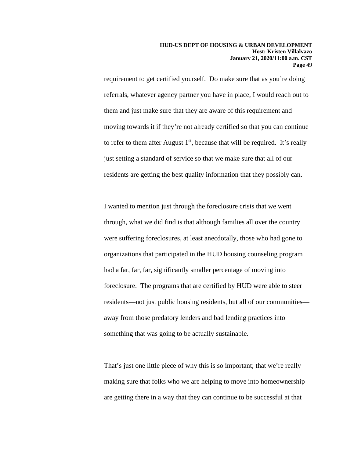requirement to get certified yourself. Do make sure that as you're doing referrals, whatever agency partner you have in place, I would reach out to them and just make sure that they are aware of this requirement and moving towards it if they're not already certified so that you can continue to refer to them after August  $1<sup>st</sup>$ , because that will be required. It's really just setting a standard of service so that we make sure that all of our residents are getting the best quality information that they possibly can.

I wanted to mention just through the foreclosure crisis that we went through, what we did find is that although families all over the country were suffering foreclosures, at least anecdotally, those who had gone to organizations that participated in the HUD housing counseling program had a far, far, far, significantly smaller percentage of moving into foreclosure. The programs that are certified by HUD were able to steer residents—not just public housing residents, but all of our communities away from those predatory lenders and bad lending practices into something that was going to be actually sustainable.

That's just one little piece of why this is so important; that we're really making sure that folks who we are helping to move into homeownership are getting there in a way that they can continue to be successful at that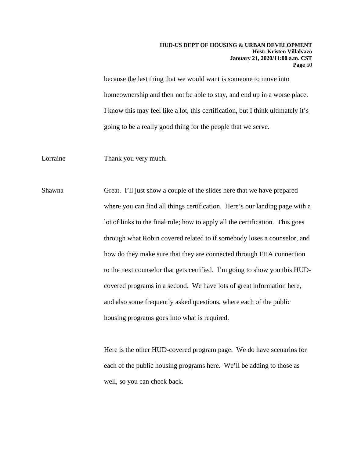because the last thing that we would want is someone to move into homeownership and then not be able to stay, and end up in a worse place. I know this may feel like a lot, this certification, but I think ultimately it's going to be a really good thing for the people that we serve.

Lorraine Thank you very much.

Shawna Great. I'll just show a couple of the slides here that we have prepared where you can find all things certification. Here's our landing page with a lot of links to the final rule; how to apply all the certification. This goes through what Robin covered related to if somebody loses a counselor, and how do they make sure that they are connected through FHA connection to the next counselor that gets certified. I'm going to show you this HUDcovered programs in a second. We have lots of great information here, and also some frequently asked questions, where each of the public housing programs goes into what is required.

> Here is the other HUD-covered program page. We do have scenarios for each of the public housing programs here. We'll be adding to those as well, so you can check back.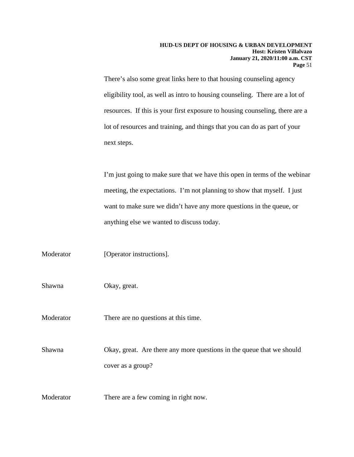There's also some great links here to that housing counseling agency eligibility tool, as well as intro to housing counseling. There are a lot of resources. If this is your first exposure to housing counseling, there are a lot of resources and training, and things that you can do as part of your next steps.

I'm just going to make sure that we have this open in terms of the webinar meeting, the expectations. I'm not planning to show that myself. I just want to make sure we didn't have any more questions in the queue, or anything else we wanted to discuss today.

Moderator [Operator instructions].

Shawna Okay, great.

Moderator There are no questions at this time.

Shawna Okay, great. Are there any more questions in the queue that we should cover as a group?

Moderator There are a few coming in right now.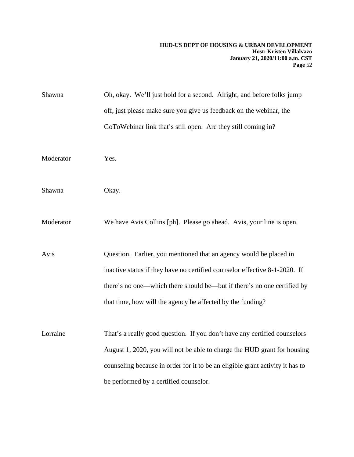| Shawna    | Oh, okay. We'll just hold for a second. Alright, and before folks jump        |
|-----------|-------------------------------------------------------------------------------|
|           | off, just please make sure you give us feedback on the webinar, the           |
|           | GoToWebinar link that's still open. Are they still coming in?                 |
|           |                                                                               |
| Moderator | Yes.                                                                          |
|           |                                                                               |
| Shawna    | Okay.                                                                         |
|           |                                                                               |
| Moderator | We have Avis Collins [ph]. Please go ahead. Avis, your line is open.          |
|           |                                                                               |
| Avis      | Question. Earlier, you mentioned that an agency would be placed in            |
|           |                                                                               |
|           | inactive status if they have no certified counselor effective 8-1-2020. If    |
|           | there's no one—which there should be—but if there's no one certified by       |
|           | that time, how will the agency be affected by the funding?                    |
|           |                                                                               |
| Lorraine  | That's a really good question. If you don't have any certified counselors     |
|           | August 1, 2020, you will not be able to charge the HUD grant for housing      |
|           | counseling because in order for it to be an eligible grant activity it has to |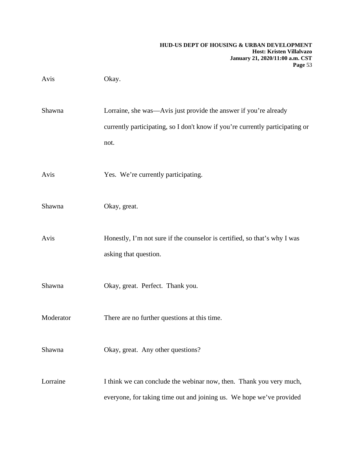| Avis      | Okay.                                                                                                                                                     |
|-----------|-----------------------------------------------------------------------------------------------------------------------------------------------------------|
| Shawna    | Lorraine, she was—Avis just provide the answer if you're already<br>currently participating, so I don't know if you're currently participating or<br>not. |
| Avis      | Yes. We're currently participating.                                                                                                                       |
| Shawna    | Okay, great.                                                                                                                                              |
| Avis      | Honestly, I'm not sure if the counselor is certified, so that's why I was<br>asking that question.                                                        |
| Shawna    | Okay, great. Perfect. Thank you.                                                                                                                          |
| Moderator | There are no further questions at this time.                                                                                                              |
| Shawna    | Okay, great. Any other questions?                                                                                                                         |
| Lorraine  | I think we can conclude the webinar now, then. Thank you very much,<br>everyone, for taking time out and joining us. We hope we've provided               |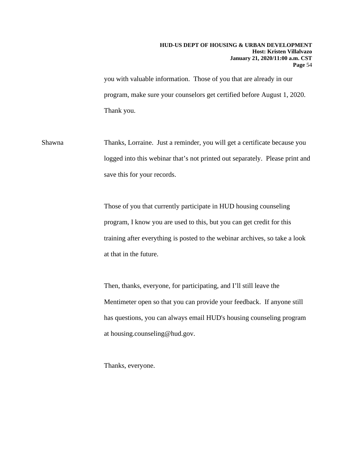you with valuable information. Those of you that are already in our program, make sure your counselors get certified before August 1, 2020. Thank you.

Shawna Thanks, Lorraine. Just a reminder, you will get a certificate because you logged into this webinar that's not printed out separately. Please print and save this for your records.

> Those of you that currently participate in HUD housing counseling program, I know you are used to this, but you can get credit for this training after everything is posted to the webinar archives, so take a look at that in the future.

> Then, thanks, everyone, for participating, and I'll still leave the Mentimeter open so that you can provide your feedback. If anyone still has questions, you can always email HUD's housing counseling program at housing.counseling@hud.gov.

Thanks, everyone.